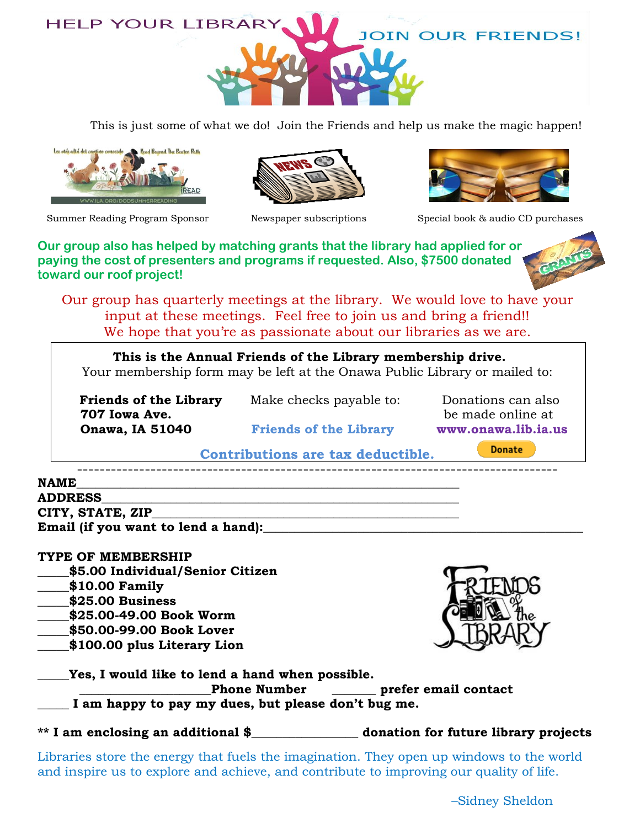

This is just some of what we do! Join the Friends and help us make the magic happen!









Summer Reading Program Sponsor Mewspaper subscriptions Special book & audio CD purchases

**Our group also has helped by matching grants that the library had applied for or paying the cost of presenters and programs if requested. Also, \$7500 donated toward our roof project!**

Our group has quarterly meetings at the library. We would love to have your input at these meetings. Feel free to join us and bring a friend!! We hope that you're as passionate about our libraries as we are.

**This is the Annual Friends of the Library membership drive.** Your membership form may be left at the Onawa Public Library or mailed to:

 **707 Iowa Ave.** be made online at  **Onawa, IA 51040 Friends of the Library www.onawa.lib.ia.us**

**Friends of the Library** Make checks payable to: Donations can also

**Donate** 

**Contributions are tax deductible.**

| <b>NAME</b>                         |  |
|-------------------------------------|--|
| <b>ADDRESS</b>                      |  |
| CITY, STATE, ZIP                    |  |
| Email (if you want to lend a hand): |  |
|                                     |  |

## **TYPE OF MEMBERSHIP**

- **\_\_\_\_\_\$5.00 Individual/Senior Citizen**
- **\_\_\_\_\_\$10.00 Family**
- **\_\_\_\_\_\$25.00 Business**
- **\_\_\_\_\_\$25.00-49.00 Book Worm**
- **\_\_\_\_\_\$50.00-99.00 Book Lover**
- **\_\_\_\_\_\$100.00 plus Literary Lion**

| Yes, I would like to lend a hand when possible.                                                  |                                      |
|--------------------------------------------------------------------------------------------------|--------------------------------------|
| Phone Number _______ prefer email contact<br>I am happy to pay my dues, but please don't bug me. |                                      |
| ** I am enclosing an additional \$                                                               | donation for future library projects |
|                                                                                                  |                                      |

Libraries store the energy that fuels the imagination. They open up windows to the world and inspire us to explore and achieve, and contribute to improving our quality of life.



–Sidney Sheldon